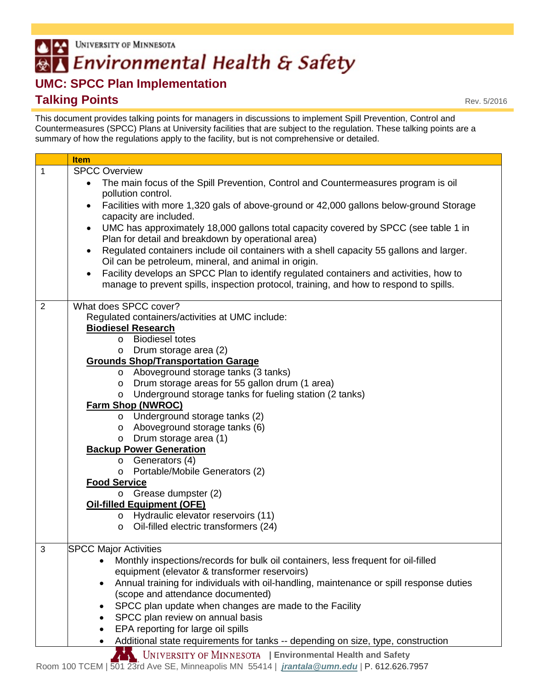## UNIVERSITY OF MINNESOTA  $| \cdot |$ **AT Environmental Health & Safety**

## **UMC: SPCC Plan Implementation Talking Points**

This document provides talking points for managers in discussions to implement Spill Prevention, Control and Countermeasures (SPCC) Plans at University facilities that are subject to the regulation. These talking points are a summary of how the regulations apply to the facility, but is not comprehensive or detailed.

|             | <b>Item</b>                                                                                                                                                                                   |
|-------------|-----------------------------------------------------------------------------------------------------------------------------------------------------------------------------------------------|
| $\mathbf 1$ | <b>SPCC Overview</b>                                                                                                                                                                          |
|             | The main focus of the Spill Prevention, Control and Countermeasures program is oil<br>$\bullet$<br>pollution control.                                                                         |
|             | Facilities with more 1,320 gals of above-ground or 42,000 gallons below-ground Storage<br>$\bullet$<br>capacity are included.                                                                 |
|             | UMC has approximately 18,000 gallons total capacity covered by SPCC (see table 1 in<br>$\bullet$<br>Plan for detail and breakdown by operational area)                                        |
|             | Regulated containers include oil containers with a shell capacity 55 gallons and larger.<br>$\bullet$                                                                                         |
|             | Oil can be petroleum, mineral, and animal in origin.                                                                                                                                          |
|             | Facility develops an SPCC Plan to identify regulated containers and activities, how to<br>$\bullet$<br>manage to prevent spills, inspection protocol, training, and how to respond to spills. |
| 2           | What does SPCC cover?                                                                                                                                                                         |
|             | Regulated containers/activities at UMC include:                                                                                                                                               |
|             | <b>Biodiesel Research</b>                                                                                                                                                                     |
|             | o Biodiesel totes                                                                                                                                                                             |
|             | Drum storage area (2)<br>$\circ$                                                                                                                                                              |
|             | <b>Grounds Shop/Transportation Garage</b>                                                                                                                                                     |
|             | o Aboveground storage tanks (3 tanks)                                                                                                                                                         |
|             | Drum storage areas for 55 gallon drum (1 area)<br>$\circ$                                                                                                                                     |
|             | Underground storage tanks for fueling station (2 tanks)<br>$\circ$                                                                                                                            |
|             | <b>Farm Shop (NWROC)</b>                                                                                                                                                                      |
|             | o Underground storage tanks (2)                                                                                                                                                               |
|             | o Aboveground storage tanks (6)                                                                                                                                                               |
|             | Drum storage area (1)<br>$\circ$<br><b>Backup Power Generation</b>                                                                                                                            |
|             | $\circ$ Generators (4)                                                                                                                                                                        |
|             | Portable/Mobile Generators (2)<br>$\circ$                                                                                                                                                     |
|             | <b>Food Service</b>                                                                                                                                                                           |
|             | Grease dumpster (2)<br>$\circ$                                                                                                                                                                |
|             | <b>Oil-filled Equipment (OFE)</b>                                                                                                                                                             |
|             | o Hydraulic elevator reservoirs (11)                                                                                                                                                          |
|             | Oil-filled electric transformers (24)<br>$\circ$                                                                                                                                              |
| 3           | <b>SPCC Major Activities</b>                                                                                                                                                                  |
|             | Monthly inspections/records for bulk oil containers, less frequent for oil-filled                                                                                                             |
|             | equipment (elevator & transformer reservoirs)                                                                                                                                                 |
|             | Annual training for individuals with oil-handling, maintenance or spill response duties                                                                                                       |
|             | (scope and attendance documented)                                                                                                                                                             |
|             | SPCC plan update when changes are made to the Facility                                                                                                                                        |
|             | SPCC plan review on annual basis                                                                                                                                                              |
|             | EPA reporting for large oil spills                                                                                                                                                            |
|             | Additional state requirements for tanks -- depending on size, type, construction                                                                                                              |
|             | UNIVERSITY OF MINNESOTA   Environmental Health and Safety                                                                                                                                     |
|             | Room 100 TCEM   501 23rd Ave SE, Minneapolis MN 55414   <i>jrantala @umn.edu</i>   P. 612.626.7957                                                                                            |